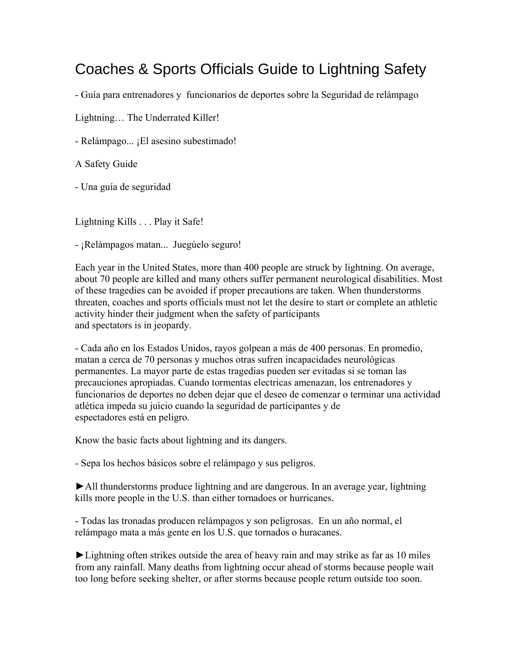## Coaches & Sports Officials Guide to Lightning Safety

- Guía para entrenadores y funcionarios de deportes sobre la Seguridad de relámpago

Lightning… The Underrated Killer!

- Relámpago... ¡El asesino subestimado!

A Safety Guide

- Una guía de seguridad

Lightning Kills . . . Play it Safe!

- ¡Relámpagos matan... Juegúelo seguro!

Each year in the United States, more than 400 people are struck by lightning. On average, about 70 people are killed and many others suffer permanent neurological disabilities. Most of these tragedies can be avoided if proper precautions are taken. When thunderstorms threaten, coaches and sports officials must not let the desire to start or complete an athletic activity hinder their judgment when the safety of participants and spectators is in jeopardy.

- Cada año en los Estados Unidos, rayos golpean a más de 400 personas. En promedio, matan a cerca de 70 personas y muchos otras sufren incapacidades neurológicas permanentes. La mayor parte de estas tragedias pueden ser evitadas si se toman las precauciones apropiadas. Cuando tormentas electricas amenazan, los entrenadores y funcionarios de deportes no deben dejar que el deseo de comenzar o terminar una actividad atlética impeda su juicio cuando la seguridad de participantes y de espectadores está en peligro.

Know the basic facts about lightning and its dangers.

- Sepa los hechos básicos sobre el relámpago y sus peligros.

►All thunderstorms produce lightning and are dangerous. In an average year, lightning kills more people in the U.S. than either tornadoes or hurricanes.

- Todas las tronadas producen relámpagos y son peligrosas. En un año normal, el relámpago mata a más gente en los U.S. que tornados o huracanes.

►Lightning often strikes outside the area of heavy rain and may strike as far as 10 miles from any rainfall. Many deaths from lightning occur ahead of storms because people wait too long before seeking shelter, or after storms because people return outside too soon.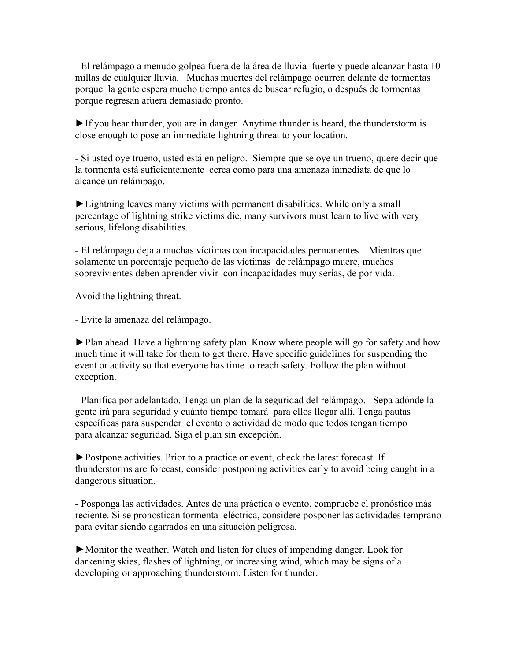- El relámpago a menudo golpea fuera de la área de lluvia fuerte y puede alcanzar hasta 10 millas de cualquier lluvia. Muchas muertes del relámpago ocurren delante de tormentas porque la gente espera mucho tiempo antes de buscar refugio, o después de tormentas porque regresan afuera demasiado pronto.

►If you hear thunder, you are in danger. Anytime thunder is heard, the thunderstorm is close enough to pose an immediate lightning threat to your location.

- Si usted oye trueno, usted está en peligro. Siempre que se oye un trueno, quere decir que la tormenta está suficientemente cerca como para una amenaza inmediata de que lo alcance un relámpago.

►Lightning leaves many victims with permanent disabilities. While only a small percentage of lightning strike victims die, many survivors must learn to live with very serious, lifelong disabilities.

- El relámpago deja a muchas víctimas con incapacidades permanentes. Mientras que solamente un porcentaje pequeño de las víctimas de relámpago muere, muchos sobrevivientes deben aprender vivir con incapacidades muy serias, de por vida.

Avoid the lightning threat.

- Evite la amenaza del relámpago.

►Plan ahead. Have a lightning safety plan. Know where people will go for safety and how much time it will take for them to get there. Have specific guidelines for suspending the event or activity so that everyone has time to reach safety. Follow the plan without exception.

- Planifica por adelantado. Tenga un plan de la seguridad del relámpago. Sepa adónde la gente irá para seguridad y cuánto tiempo tomará para ellos llegar allí. Tenga pautas específicas para suspender el evento o actividad de modo que todos tengan tiempo para alcanzar seguridad. Siga el plan sin excepción.

►Postpone activities. Prior to a practice or event, check the latest forecast. If thunderstorms are forecast, consider postponing activities early to avoid being caught in a dangerous situation.

- Posponga las actividades. Antes de una práctica o evento, compruebe el pronóstico más reciente. Si se pronostican tormenta eléctrica, considere posponer las actividades temprano para evitar siendo agarrados en una situación peligrosa.

►Monitor the weather. Watch and listen for clues of impending danger. Look for darkening skies, flashes of lightning, or increasing wind, which may be signs of a developing or approaching thunderstorm. Listen for thunder.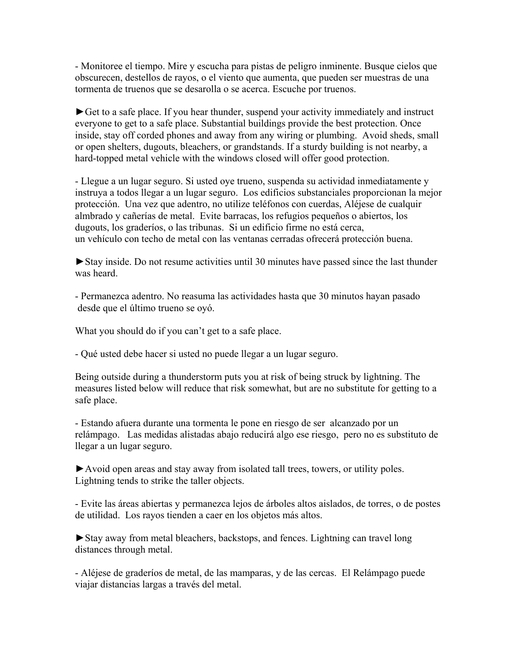- Monitoree el tiempo. Mire y escucha para pistas de peligro inminente. Busque cielos que obscurecen, destellos de rayos, o el viento que aumenta, que pueden ser muestras de una tormenta de truenos que se desarolla o se acerca. Escuche por truenos.

►Get to a safe place. If you hear thunder, suspend your activity immediately and instruct everyone to get to a safe place. Substantial buildings provide the best protection. Once inside, stay off corded phones and away from any wiring or plumbing. Avoid sheds, small or open shelters, dugouts, bleachers, or grandstands. If a sturdy building is not nearby, a hard-topped metal vehicle with the windows closed will offer good protection.

- Llegue a un lugar seguro. Si usted oye trueno, suspenda su actividad inmediatamente y instruya a todos llegar a un lugar seguro. Los edificios substanciales proporcionan la mejor protección. Una vez que adentro, no utilize teléfonos con cuerdas, Aléjese de cualquir almbrado y cañerías de metal. Evite barracas, los refugios pequeños o abiertos, los dugouts, los graderíos, o las tribunas. Si un edificio firme no está cerca, un vehículo con techo de metal con las ventanas cerradas ofrecerá protección buena.

►Stay inside. Do not resume activities until 30 minutes have passed since the last thunder was heard.

- Permanezca adentro. No reasuma las actividades hasta que 30 minutos hayan pasado desde que el último trueno se oyó.

What you should do if you can't get to a safe place.

- Qué usted debe hacer si usted no puede llegar a un lugar seguro.

Being outside during a thunderstorm puts you at risk of being struck by lightning. The measures listed below will reduce that risk somewhat, but are no substitute for getting to a safe place.

- Estando afuera durante una tormenta le pone en riesgo de ser alcanzado por un relámpago. Las medidas alistadas abajo reducirá algo ese riesgo, pero no es substituto de llegar a un lugar seguro.

►Avoid open areas and stay away from isolated tall trees, towers, or utility poles. Lightning tends to strike the taller objects.

- Evite las áreas abiertas y permanezca lejos de árboles altos aislados, de torres, o de postes de utilidad. Los rayos tienden a caer en los objetos más altos.

►Stay away from metal bleachers, backstops, and fences. Lightning can travel long distances through metal.

- Aléjese de graderíos de metal, de las mamparas, y de las cercas. El Relámpago puede viajar distancias largas a través del metal.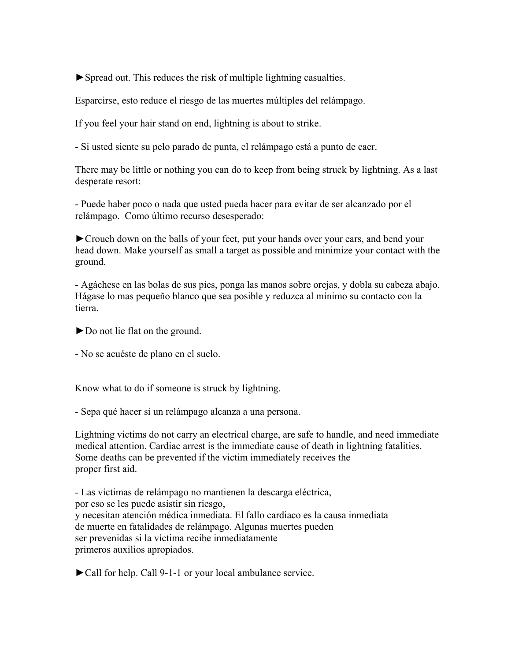►Spread out. This reduces the risk of multiple lightning casualties.

Esparcirse, esto reduce el riesgo de las muertes múltiples del relámpago.

If you feel your hair stand on end, lightning is about to strike.

- Si usted siente su pelo parado de punta, el relámpago está a punto de caer.

There may be little or nothing you can do to keep from being struck by lightning. As a last desperate resort:

- Puede haber poco o nada que usted pueda hacer para evitar de ser alcanzado por el relámpago. Como último recurso desesperado:

►Crouch down on the balls of your feet, put your hands over your ears, and bend your head down. Make yourself as small a target as possible and minimize your contact with the ground.

- Agáchese en las bolas de sus pies, ponga las manos sobre orejas, y dobla su cabeza abajo. Hágase lo mas pequeño blanco que sea posible y reduzca al mínimo su contacto con la tierra.

►Do not lie flat on the ground.

- No se acuéste de plano en el suelo.

Know what to do if someone is struck by lightning.

- Sepa qué hacer si un relámpago alcanza a una persona.

Lightning victims do not carry an electrical charge, are safe to handle, and need immediate medical attention. Cardiac arrest is the immediate cause of death in lightning fatalities. Some deaths can be prevented if the victim immediately receives the proper first aid.

- Las víctimas de relámpago no mantienen la descarga eléctrica, por eso se les puede asistir sin riesgo, y necesitan atención médica inmediata. El fallo cardiaco es la causa inmediata de muerte en fatalidades de relámpago. Algunas muertes pueden ser prevenidas si la víctima recibe inmediatamente primeros auxilios apropiados.

►Call for help. Call 9-1-1 or your local ambulance service.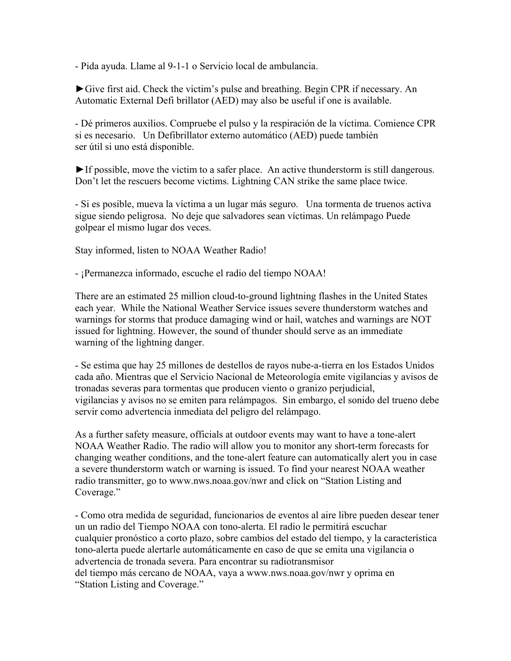- Pida ayuda. Llame al 9-1-1 o Servicio local de ambulancia.

►Give first aid. Check the victim's pulse and breathing. Begin CPR if necessary. An Automatic External Defi brillator (AED) may also be useful if one is available.

- Dé primeros auxilios. Compruebe el pulso y la respiración de la víctima. Comience CPR si es necesario. Un Defibrillator externo automático (AED) puede también ser útil si uno está disponible.

►If possible, move the victim to a safer place. An active thunderstorm is still dangerous. Don't let the rescuers become victims. Lightning CAN strike the same place twice.

- Si es posible, mueva la víctima a un lugar más seguro. Una tormenta de truenos activa sigue siendo peligrosa. No deje que salvadores sean víctimas. Un relámpago Puede golpear el mismo lugar dos veces.

Stay informed, listen to NOAA Weather Radio!

- ¡Permanezca informado, escuche el radio del tiempo NOAA!

There are an estimated 25 million cloud-to-ground lightning flashes in the United States each year. While the National Weather Service issues severe thunderstorm watches and warnings for storms that produce damaging wind or hail, watches and warnings are NOT issued for lightning. However, the sound of thunder should serve as an immediate warning of the lightning danger.

- Se estima que hay 25 millones de destellos de rayos nube-a-tierra en los Estados Unidos cada año. Mientras que el Servicio Nacional de Meteorología emite vigilancias y avisos de tronadas severas para tormentas que producen viento o granizo perjudicial, vigilancias y avisos no se emiten para relámpagos. Sin embargo, el sonido del trueno debe servir como advertencia inmediata del peligro del relámpago.

As a further safety measure, officials at outdoor events may want to have a tone-alert NOAA Weather Radio. The radio will allow you to monitor any short-term forecasts for changing weather conditions, and the tone-alert feature can automatically alert you in case a severe thunderstorm watch or warning is issued. To find your nearest NOAA weather radio transmitter, go to www.nws.noaa.gov/nwr and click on "Station Listing and Coverage."

- Como otra medida de seguridad, funcionarios de eventos al aire libre pueden desear tener un un radio del Tiempo NOAA con tono-alerta. El radio le permitirá escuchar cualquier pronóstico a corto plazo, sobre cambios del estado del tiempo, y la característica tono-alerta puede alertarle automáticamente en caso de que se emita una vigilancia o advertencia de tronada severa. Para encontrar su radiotransmisor del tiempo más cercano de NOAA, vaya a www.nws.noaa.gov/nwr y oprima en "Station Listing and Coverage."